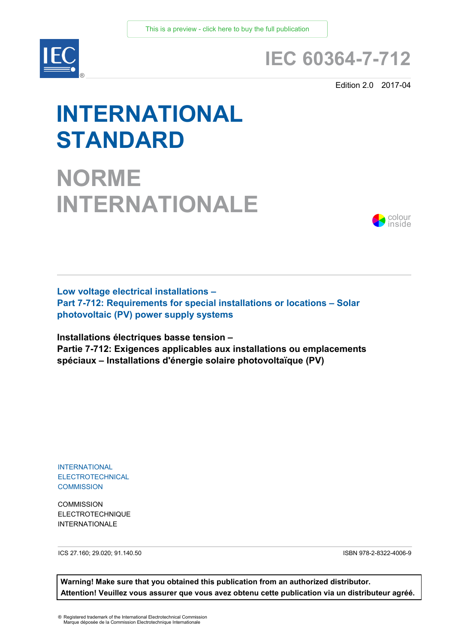

## **IEC 60364-7-712**

Edition 2.0 2017-04

# **INTERNATIONAL STANDARD**

**NORME INTERNATIONALE**



**Low voltage electrical installations – Part 7-712: Requirements for special installations or locations – Solar photovoltaic (PV) power supply systems**

**Installations électriques basse tension – Partie 7-712: Exigences applicables aux installations ou emplacements spéciaux – Installations d'énergie solaire photovoltaïque (PV)**

INTERNATIONAL ELECTROTECHNICAL **COMMISSION** 

**COMMISSION** ELECTROTECHNIQUE INTERNATIONALE

ICS 27.160; 29.020; 91.140.50 ISBN 978-2-8322-4006-9

**Warning! Make sure that you obtained this publication from an authorized distributor. Attention! Veuillez vous assurer que vous avez obtenu cette publication via un distributeur agréé.**

® Registered trademark of the International Electrotechnical Commission Marque déposée de la Commission Electrotechnique Internationale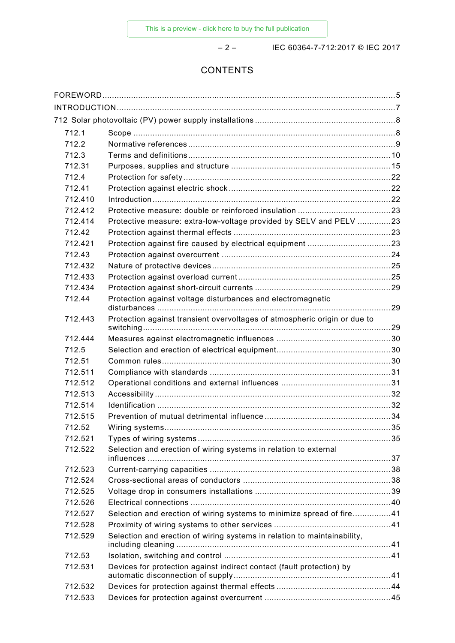– 2 – IEC 60364-7-712:2017 © IEC 2017

## **CONTENTS**

| 712.1   |                                                                           |  |
|---------|---------------------------------------------------------------------------|--|
| 712.2   |                                                                           |  |
| 712.3   |                                                                           |  |
| 712.31  |                                                                           |  |
| 712.4   |                                                                           |  |
| 712.41  |                                                                           |  |
| 712.410 |                                                                           |  |
| 712.412 |                                                                           |  |
| 712.414 | Protective measure: extra-low-voltage provided by SELV and PELV 23        |  |
| 712.42  |                                                                           |  |
| 712.421 | Protection against fire caused by electrical equipment 23                 |  |
| 712.43  |                                                                           |  |
| 712.432 |                                                                           |  |
| 712.433 |                                                                           |  |
| 712.434 |                                                                           |  |
| 712.44  | Protection against voltage disturbances and electromagnetic               |  |
| 712.443 | Protection against transient overvoltages of atmospheric origin or due to |  |
| 712.444 |                                                                           |  |
| 712.5   |                                                                           |  |
| 712.51  |                                                                           |  |
| 712.511 |                                                                           |  |
| 712.512 |                                                                           |  |
| 712.513 |                                                                           |  |
| 712.514 |                                                                           |  |
| 712.515 |                                                                           |  |
| 712.52  |                                                                           |  |
| 712.521 |                                                                           |  |
| 712.522 | Selection and erection of wiring systems in relation to external          |  |
| 712.523 |                                                                           |  |
| 712.524 |                                                                           |  |
| 712.525 |                                                                           |  |
| 712.526 |                                                                           |  |
| 712.527 | Selection and erection of wiring systems to minimize spread of fire41     |  |
| 712.528 |                                                                           |  |
| 712.529 | Selection and erection of wiring systems in relation to maintainability,  |  |
| 712.53  |                                                                           |  |
| 712.531 | Devices for protection against indirect contact (fault protection) by     |  |
| 712.532 |                                                                           |  |
| 712.533 |                                                                           |  |
|         |                                                                           |  |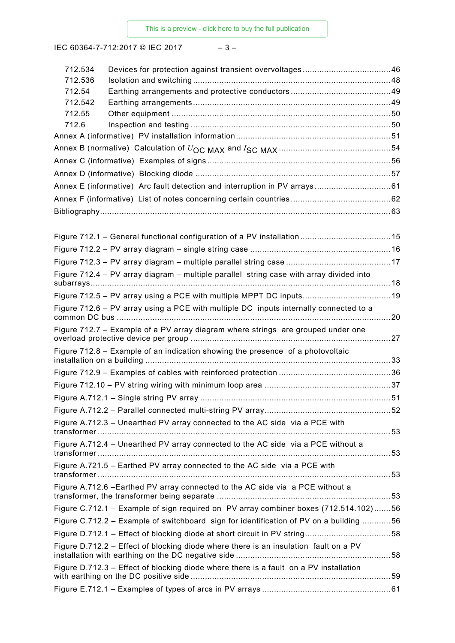IEC 60364-7-712:2017 © IEC 2017 – 3 –

| 712.534 |  |
|---------|--|
| 712.536 |  |
| 712.54  |  |
| 712.542 |  |
| 712.55  |  |
| 712.6   |  |
|         |  |
|         |  |
|         |  |
|         |  |
|         |  |
|         |  |
|         |  |
|         |  |

| Figure 712.4 - PV array diagram - multiple parallel string case with array divided into |  |
|-----------------------------------------------------------------------------------------|--|
| Figure 712.5 - PV array using a PCE with multiple MPPT DC inputs 19                     |  |
| Figure 712.6 - PV array using a PCE with multiple DC inputs internally connected to a   |  |
| Figure 712.7 - Example of a PV array diagram where strings are grouped under one        |  |
| Figure 712.8 - Example of an indication showing the presence of a photovoltaic          |  |
|                                                                                         |  |
|                                                                                         |  |
|                                                                                         |  |
|                                                                                         |  |
| Figure A.712.3 - Unearthed PV array connected to the AC side via a PCE with             |  |
| Figure A.712.4 - Unearthed PV array connected to the AC side via a PCE without a        |  |
| Figure A.721.5 - Earthed PV array connected to the AC side via a PCE with               |  |
| Figure A.712.6 -Earthed PV array connected to the AC side via a PCE without a           |  |
| Figure C.712.1 - Example of sign required on PV array combiner boxes (712.514.102)56    |  |
| Figure C.712.2 - Example of switchboard sign for identification of PV on a building 56  |  |
| Figure D.712.1 - Effect of blocking diode at short circuit in PV string58               |  |
| Figure D.712.2 - Effect of blocking diode where there is an insulation fault on a PV    |  |
| Figure D.712.3 - Effect of blocking diode where there is a fault on a PV installation   |  |
|                                                                                         |  |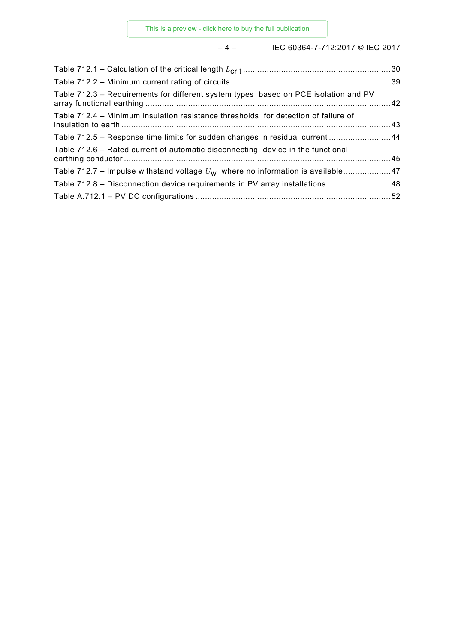– 4 – IEC 60364-7-712:2017 © IEC 2017

| Table 712.3 - Requirements for different system types based on PCE isolation and PV          |  |
|----------------------------------------------------------------------------------------------|--|
| Table 712.4 – Minimum insulation resistance thresholds for detection of failure of           |  |
| Table 712.5 - Response time limits for sudden changes in residual current44                  |  |
| Table 712.6 – Rated current of automatic disconnecting device in the functional              |  |
| Table 712.7 – Impulse withstand voltage $U_{\mathbf{w}}$ where no information is available47 |  |
| Table 712.8 – Disconnection device requirements in PV array installations48                  |  |
|                                                                                              |  |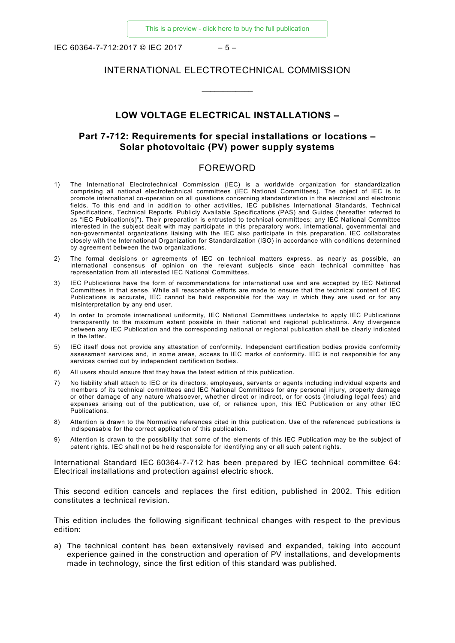IEC 60364-7-712:2017 © IEC 2017 – 5 –

#### INTERNATIONAL ELECTROTECHNICAL COMMISSION

\_\_\_\_\_\_\_\_\_\_\_\_

#### **LOW VOLTAGE ELECTRICAL INSTALLATIONS –**

#### **Part 7-712: Requirements for special installations or locations – Solar photovoltaic (PV) power supply systems**

#### FOREWORD

- <span id="page-4-0"></span>1) The International Electrotechnical Commission (IEC) is a worldwide organization for standardization comprising all national electrotechnical committees (IEC National Committees). The object of IEC is to promote international co-operation on all questions concerning standardization in the electrical and electronic fields. To this end and in addition to other activities, IEC publishes International Standards, Technical Specifications, Technical Reports, Publicly Available Specifications (PAS) and Guides (hereafter referred to as "IEC Publication(s)"). Their preparation is entrusted to technical committees; any IEC National Committee interested in the subject dealt with may participate in this preparatory work. International, governmental and non-governmental organizations liaising with the IEC also participate in this preparation. IEC collaborates closely with the International Organization for Standardization (ISO) in accordance with conditions determined by agreement between the two organizations.
- 2) The formal decisions or agreements of IEC on technical matters express, as nearly as possible, an international consensus of opinion on the relevant subjects since each technical committee has representation from all interested IEC National Committees.
- 3) IEC Publications have the form of recommendations for international use and are accepted by IEC National Committees in that sense. While all reasonable efforts are made to ensure that the technical content of IEC Publications is accurate, IEC cannot be held responsible for the way in which they are used or for any misinterpretation by any end user.
- 4) In order to promote international uniformity, IEC National Committees undertake to apply IEC Publications transparently to the maximum extent possible in their national and regional publications. Any divergence between any IEC Publication and the corresponding national or regional publication shall be clearly indicated in the latter.
- 5) IEC itself does not provide any attestation of conformity. Independent certification bodies provide conformity assessment services and, in some areas, access to IEC marks of conformity. IEC is not responsible for any services carried out by independent certification bodies.
- 6) All users should ensure that they have the latest edition of this publication.
- 7) No liability shall attach to IEC or its directors, employees, servants or agents including individual experts and members of its technical committees and IEC National Committees for any personal injury, property damage or other damage of any nature whatsoever, whether direct or indirect, or for costs (including legal fees) and expenses arising out of the publication, use of, or reliance upon, this IEC Publication or any other IEC Publications.
- 8) Attention is drawn to the Normative references cited in this publication. Use of the referenced publications is indispensable for the correct application of this publication.
- 9) Attention is drawn to the possibility that some of the elements of this IEC Publication may be the subject of patent rights. IEC shall not be held responsible for identifying any or all such patent rights.

International Standard IEC 60364-7-712 has been prepared by IEC technical committee 64: Electrical installations and protection against electric shock.

This second edition cancels and replaces the first edition, published in 2002. This edition constitutes a technical revision.

This edition includes the following significant technical changes with respect to the previous edition:

a) The technical content has been extensively revised and expanded, taking into account experience gained in the construction and operation of PV installations, and developments made in technology, since the first edition of this standard was published.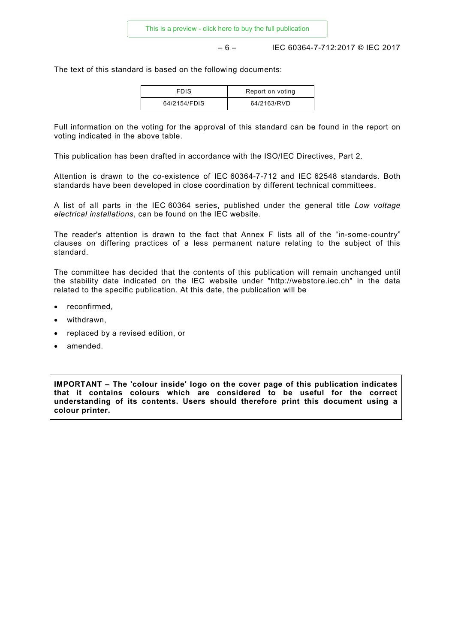– 6 – IEC 60364-7-712:2017 © IEC 2017

The text of this standard is based on the following documents:

| <b>FDIS</b>  | Report on voting |
|--------------|------------------|
| 64/2154/FDIS | 64/2163/RVD      |

Full information on the voting for the approval of this standard can be found in the report on voting indicated in the above table.

This publication has been drafted in accordance with the ISO/IEC Directives, Part 2.

Attention is drawn to the co-existence of IEC 60364-7-712 and IEC 62548 standards. Both standards have been developed in close coordination by different technical committees.

A list of all parts in the IEC 60364 series, published under the general title *Low voltage electrical installations*, can be found on the IEC website.

The reader's attention is drawn to the fact that Annex F lists all of the "in-some-country" clauses on differing practices of a less permanent nature relating to the subject of this standard.

The committee has decided that the contents of this publication will remain unchanged until the stability date indicated on the IEC website under "http://webstore.iec.ch" in the data related to the specific publication. At this date, the publication will be

- reconfirmed,
- withdrawn.
- replaced by a revised edition, or
- amended.

**IMPORTANT – The 'colour inside' logo on the cover page of this publication indicates that it contains colours which are considered to be useful for the correct understanding of its contents. Users should therefore print this document using a colour printer.**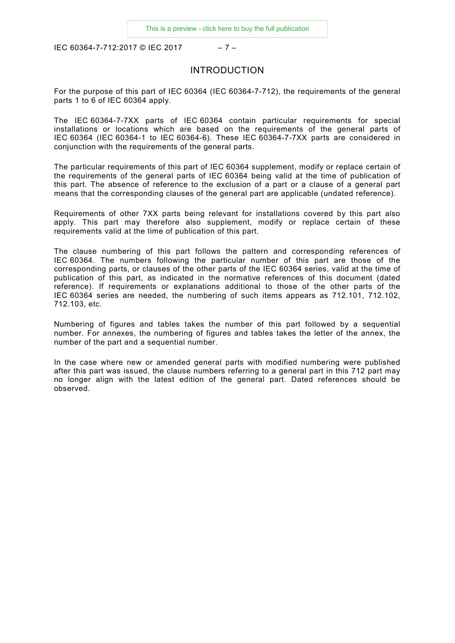<span id="page-6-0"></span>IEC 60364-7-712:2017 © IEC 2017 – 7 –

#### INTRODUCTION

For the purpose of this part of IEC 60364 (IEC 60364-7-712), the requirements of the general parts 1 to 6 of IEC 60364 apply.

The IEC 60364-7-7XX parts of IEC 60364 contain particular requirements for special installations or locations which are based on the requirements of the general parts of IEC 60364 (IEC 60364-1 to IEC 60364-6). These IEC 60364-7-7XX parts are considered in conjunction with the requirements of the general parts.

The particular requirements of this part of IEC 60364 supplement, modify or replace certain of the requirements of the general parts of IEC 60364 being valid at the time of publication of this part. The absence of reference to the exclusion of a part or a clause of a general part means that the corresponding clauses of the general part are applicable (undated reference).

Requirements of other 7XX parts being relevant for installations covered by this part also apply. This part may therefore also supplement, modify or replace certain of these requirements valid at the time of publication of this part.

The clause numbering of this part follows the pattern and corresponding references of IEC 60364. The numbers following the particular number of this part are those of the corresponding parts, or clauses of the other parts of the IEC 60364 series, valid at the time of publication of this part, as indicated in the normative references of this document (dated reference). If requirements or explanations additional to those of the other parts of the IEC 60364 series are needed, the numbering of such items appears as 712.101, 712.102, 712.103, etc.

Numbering of figures and tables takes the number of this part followed by a sequential number. For annexes, the numbering of figures and tables takes the letter of the annex, the number of the part and a sequential number.

In the case where new or amended general parts with modified numbering were published after this part was issued, the clause numbers referring to a general part in this 712 part may no longer align with the latest edition of the general part. Dated references should be observed.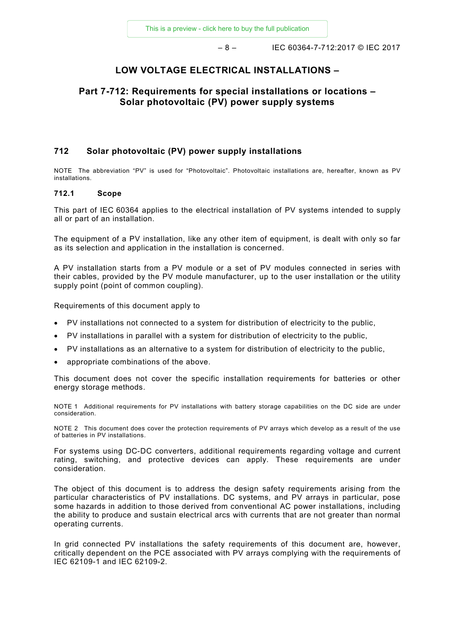– 8 – IEC 60364-7-712:2017 © IEC 2017

#### **LOW VOLTAGE ELECTRICAL INSTALLATIONS –**

#### **Part 7-712: Requirements for special installations or locations – Solar photovoltaic (PV) power supply systems**

#### <span id="page-7-0"></span>**712 Solar photovoltaic (PV) power supply installations**

NOTE The abbreviation "PV" is used for "Photovoltaic". Photovoltaic installations are, hereafter, known as PV installations.

#### <span id="page-7-1"></span>**712.1 Scope**

This part of IEC 60364 applies to the electrical installation of PV systems intended to supply all or part of an installation.

The equipment of a PV installation, like any other item of equipment, is dealt with only so far as its selection and application in the installation is concerned.

A PV installation starts from a PV module or a set of PV modules connected in series with their cables, provided by the PV module manufacturer, up to the user installation or the utility supply point (point of common coupling).

Requirements of this document apply to

- PV installations not connected to a system for distribution of electricity to the public,
- PV installations in parallel with a system for distribution of electricity to the public,
- PV installations as an alternative to a system for distribution of electricity to the public,
- appropriate combinations of the above.

This document does not cover the specific installation requirements for batteries or other energy storage methods.

NOTE 1 Additional requirements for PV installations with battery storage capabilities on the DC side are under consideration.

NOTE 2 This document does cover the protection requirements of PV arrays which develop as a result of the use of batteries in PV installations.

For systems using DC-DC converters, additional requirements regarding voltage and current rating, switching, and protective devices can apply. These requirements are under consideration.

The object of this document is to address the design safety requirements arising from the particular characteristics of PV installations. DC systems, and PV arrays in particular, pose some hazards in addition to those derived from conventional AC power installations, including the ability to produce and sustain electrical arcs with currents that are not greater than normal operating currents.

In grid connected PV installations the safety requirements of this document are, however, critically dependent on the PCE associated with PV arrays complying with the requirements of IEC 62109-1 and IEC 62109-2.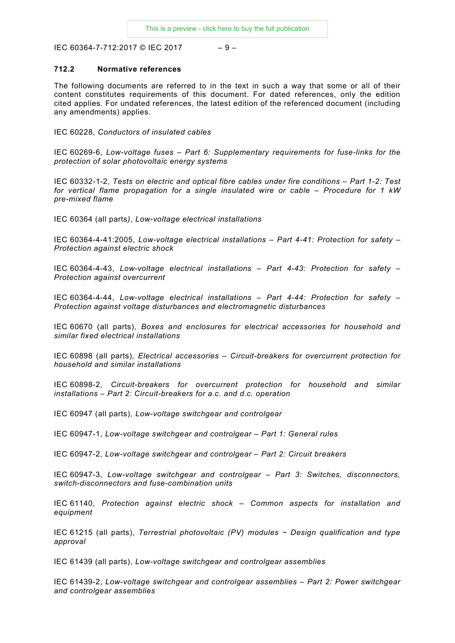IEC 60364-7-712:2017 © IEC 2017 – 9 –

#### <span id="page-8-0"></span>**712.2 Normative references**

The following documents are referred to in the text in such a way that some or all of their content constitutes requirements of this document. For dated references, only the edition cited applies. For undated references, the latest edition of the referenced document (including any amendments) applies.

IEC 60228, *Conductors of insulated cables*

IEC 60269-6, *Low-voltage fuses – Part 6: Supplementary requirements for fuse-links for the protection of solar photovoltaic energy systems*

IEC 60332-1-2, *Tests on electric and optical fibre cables under fire conditions – Part 1-2: Test for vertical flame propagation for a single insulated wire or cable – Procedure for 1 kW pre-mixed flame*

IEC 60364 (all parts*)*, *Low-voltage electrical installations* 

IEC 60364-4-41:2005, *Low-voltage electrical installations – Part 4-41: Protection for safety – Protection against electric shock*

IEC 60364-4-43, *Low-voltage electrical installations – Part 4-43: Protection for safety – Protection against overcurrent*

IEC 60364-4-44, *Low-voltage electrical installations – Part 4-44: Protection for safety – Protection against voltage disturbances and electromagnetic disturbances*

IEC 60670 (all parts), *Boxes and enclosures for electrical accessories for household and similar fixed electrical installations*

IEC 60898 (all parts)*, Electrical accessories – Circuit-breakers for overcurrent protection for household and similar installations*

IEC 60898-2, *Circuit-breakers for overcurrent protection for household and similar installations – Part 2: Circuit-breakers for a.c. and d.c. operation*

IEC 60947 (all parts)*, Low-voltage switchgear and controlgear*

IEC 60947-1, *Low-voltage switchgear and controlgear – Part 1: General rules*

IEC 60947-2, *Low-voltage switchgear and controlgear – Part 2: Circuit breakers*

IEC 60947-3, *Low-voltage switchgear and controlgear – Part 3: Switches, disconnectors, switch-disconnectors and fuse-combination units*

IEC 61140, *Protection against electric shock – Common aspects for installation and equipment*

IEC 61215 (all parts), *Terrestrial photovoltaic (PV) modules − Design qualification and type approval*

IEC 61439 (all parts), *Low-voltage switchgear and controlgear assemblies*

IEC 61439-2, *Low-voltage switchgear and controlgear assemblies – Part 2: Power switchgear and controlgear assemblies*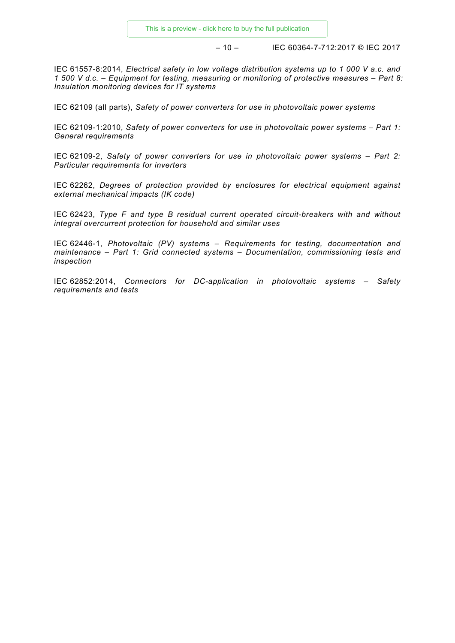– 10 – IEC 60364-7-712:2017 © IEC 2017

IEC 61557-8:2014, *Electrical safety in low voltage distribution systems up to 1 000 V a.c. and 1 500 V d.c. – Equipment for testing, measuring or monitoring of protective measures – Part 8: Insulation monitoring devices for IT systems*

IEC 62109 (all parts), *Safety of power converters for use in photovoltaic power systems*

IEC 62109-1:2010, *Safety of power converters for use in photovoltaic power systems – Part 1: General requirements*

IEC 62109-2, *Safety of power converters for use in photovoltaic power systems – Part 2: Particular requirements for inverters*

IEC 62262, *Degrees of protection provided by enclosures for electrical equipment against external mechanical impacts (IK code)*

IEC 62423, *Type F and type B residual current operated circuit-breakers with and without integral overcurrent protection for household and similar uses*

IEC 62446-1, *Photovoltaic (PV) systems – Requirements for testing, documentation and maintenance – Part 1: Grid connected systems – Documentation, commissioning tests and inspection*

<span id="page-9-0"></span>IEC 62852:2014, *Connectors for DC-application in photovoltaic systems – Safety requirements and tests*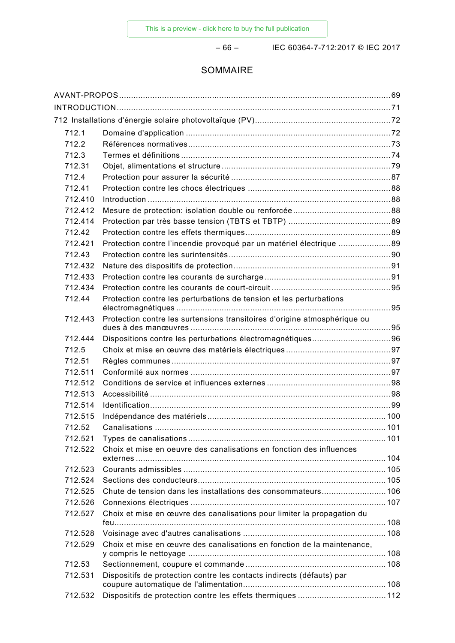– 66 – IEC 60364-7-712:2017 © IEC 2017

### SOMMAIRE

| 712.1   |                                                                           |  |
|---------|---------------------------------------------------------------------------|--|
| 712.2   |                                                                           |  |
| 712.3   |                                                                           |  |
| 712.31  |                                                                           |  |
| 712.4   |                                                                           |  |
| 712.41  |                                                                           |  |
| 712.410 |                                                                           |  |
| 712.412 |                                                                           |  |
| 712.414 |                                                                           |  |
| 712.42  |                                                                           |  |
| 712.421 | Protection contre l'incendie provoqué par un matériel électrique 89       |  |
| 712.43  |                                                                           |  |
| 712.432 |                                                                           |  |
| 712.433 |                                                                           |  |
| 712.434 |                                                                           |  |
| 712.44  | Protection contre les perturbations de tension et les perturbations       |  |
|         |                                                                           |  |
| 712.443 | Protection contre les surtensions transitoires d'origine atmosphérique ou |  |
| 712.444 |                                                                           |  |
| 712.5   |                                                                           |  |
| 712.51  |                                                                           |  |
| 712.511 |                                                                           |  |
| 712.512 |                                                                           |  |
| 712.513 |                                                                           |  |
| 712.514 |                                                                           |  |
| 712.515 |                                                                           |  |
| 712.52  |                                                                           |  |
| 712.521 |                                                                           |  |
| 712.522 | Choix et mise en oeuvre des canalisations en fonction des influences      |  |
|         |                                                                           |  |
| 712.523 |                                                                           |  |
| 712.524 |                                                                           |  |
| 712.525 |                                                                           |  |
| 712.526 |                                                                           |  |
| 712.527 | Choix et mise en œuvre des canalisations pour limiter la propagation du   |  |
| 712.528 |                                                                           |  |
| 712.529 | Choix et mise en œuvre des canalisations en fonction de la maintenance,   |  |
| 712.53  |                                                                           |  |
| 712.531 | Dispositifs de protection contre les contacts indirects (défauts) par     |  |
| 712.532 |                                                                           |  |
|         |                                                                           |  |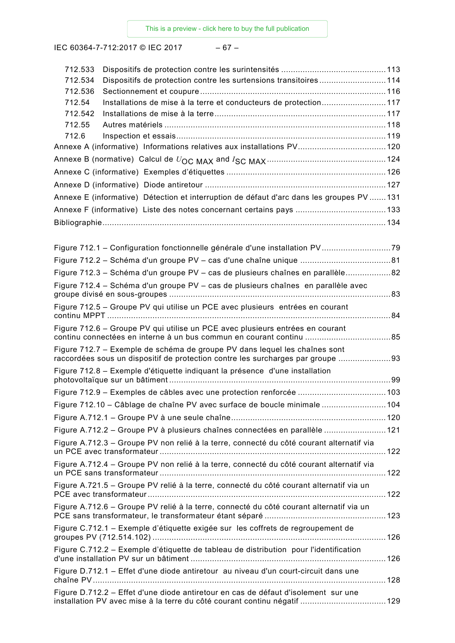IEC 60364-7-712:2017 © IEC 2017 – 67 –

| 712.533 |                                                                                                                                                                 |  |
|---------|-----------------------------------------------------------------------------------------------------------------------------------------------------------------|--|
| 712.534 | Dispositifs de protection contre les surtensions transitoires114                                                                                                |  |
| 712.536 |                                                                                                                                                                 |  |
| 712.54  | Installations de mise à la terre et conducteurs de protection 117                                                                                               |  |
| 712.542 |                                                                                                                                                                 |  |
| 712.55  |                                                                                                                                                                 |  |
| 712.6   |                                                                                                                                                                 |  |
|         | Annexe A (informative) Informations relatives aux installations PV 120                                                                                          |  |
|         |                                                                                                                                                                 |  |
|         |                                                                                                                                                                 |  |
|         |                                                                                                                                                                 |  |
|         | Annexe E (informative) Détection et interruption de défaut d'arc dans les groupes PV  131                                                                       |  |
|         | Annexe F (informative) Liste des notes concernant certains pays  133                                                                                            |  |
|         |                                                                                                                                                                 |  |
|         | Figure 712.1 - Configuration fonctionnelle générale d'une installation PV79                                                                                     |  |
|         |                                                                                                                                                                 |  |
|         | Figure 712.3 - Schéma d'un groupe PV - cas de plusieurs chaînes en parallèle82                                                                                  |  |
|         | Figure 712.4 – Schéma d'un groupe PV – cas de plusieurs chaînes en parallèle avec                                                                               |  |
|         |                                                                                                                                                                 |  |
|         | Figure 712.5 - Groupe PV qui utilise un PCE avec plusieurs entrées en courant                                                                                   |  |
|         | Figure 712.6 – Groupe PV qui utilise un PCE avec plusieurs entrées en courant                                                                                   |  |
|         | Figure 712.7 – Exemple de schéma de groupe PV dans lequel les chaînes sont<br>raccordées sous un dispositif de protection contre les surcharges par groupe 93   |  |
|         | Figure 712.8 - Exemple d'étiquette indiquant la présence d'une installation                                                                                     |  |
|         |                                                                                                                                                                 |  |
|         | Figure 712.9 - Exemples de câbles avec une protection renforcée  103                                                                                            |  |
|         | Figure 712.10 - Câblage de chaîne PV avec surface de boucle minimale  104                                                                                       |  |
|         |                                                                                                                                                                 |  |
|         | Figure A.712.2 - Groupe PV à plusieurs chaînes connectées en parallèle  121                                                                                     |  |
|         | Figure A.712.3 – Groupe PV non relié à la terre, connecté du côté courant alternatif via                                                                        |  |
|         | Figure A.712.4 - Groupe PV non relié à la terre, connecté du côté courant alternatif via                                                                        |  |
|         | Figure A.721.5 – Groupe PV relié à la terre, connecté du côté courant alternatif via un                                                                         |  |
|         | Figure A.712.6 - Groupe PV relié à la terre, connecté du côté courant alternatif via un                                                                         |  |
|         | Figure C.712.1 – Exemple d'étiquette exigée sur les coffrets de regroupement de<br>groupes PV (712.514.102) …………………………………………………………………………………………126               |  |
|         | Figure C.712.2 - Exemple d'étiquette de tableau de distribution pour l'identification                                                                           |  |
|         | Figure D.712.1 - Effet d'une diode antiretour au niveau d'un court-circuit dans une                                                                             |  |
|         |                                                                                                                                                                 |  |
|         | Figure D.712.2 – Effet d'une diode antiretour en cas de défaut d'isolement sur une<br>installation PV avec mise à la terre du côté courant continu négatif  129 |  |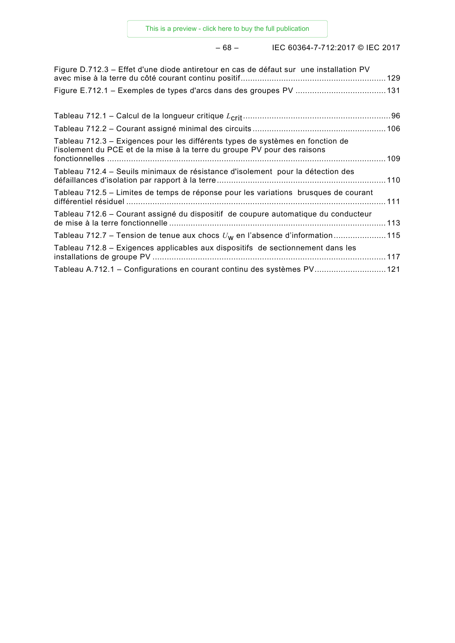– 68 – IEC 60364-7-712:2017 © IEC 2017

| Figure D.712.3 – Effet d'une diode antiretour en cas de défaut sur une installation PV                                                                      |  |
|-------------------------------------------------------------------------------------------------------------------------------------------------------------|--|
|                                                                                                                                                             |  |
|                                                                                                                                                             |  |
|                                                                                                                                                             |  |
| Tableau 712.3 – Exigences pour les différents types de systèmes en fonction de<br>l'isolement du PCE et de la mise à la terre du groupe PV pour des raisons |  |
| Tableau 712.4 – Seuils minimaux de résistance d'isolement pour la détection des                                                                             |  |
| Tableau 712.5 – Limites de temps de réponse pour les variations brusques de courant                                                                         |  |
| Tableau 712.6 – Courant assigné du dispositif de coupure automatique du conducteur                                                                          |  |
| Tableau 712.7 – Tension de tenue aux chocs $U_{\mathbf{W}}$ en l'absence d'information115                                                                   |  |
| Tableau 712.8 – Exigences applicables aux dispositifs de sectionnement dans les                                                                             |  |
| Tableau A.712.1 - Configurations en courant continu des systèmes PV 121                                                                                     |  |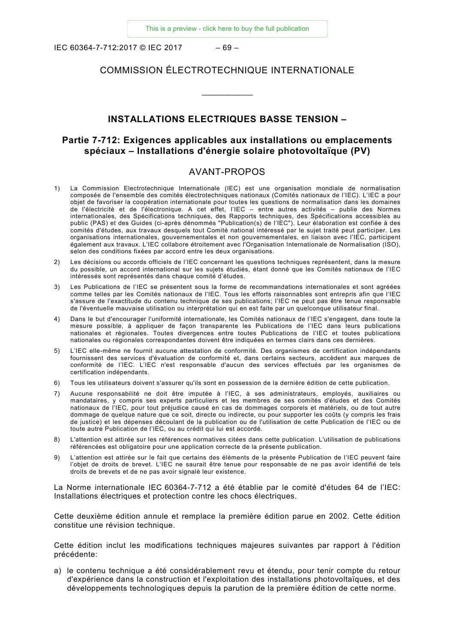IEC 60364-7-712:2017 © IEC 2017 – 69 –

#### COMMISSION ÉLECTROTECHNIQUE INTERNATIONALE

\_\_\_\_\_\_\_\_\_\_\_\_

#### **INSTALLATIONS ELECTRIQUES BASSE TENSION –**

#### **Partie 7-712: Exigences applicables aux installations ou emplacements spéciaux – Installations d'énergie solaire photovoltaïque (PV)**

#### AVANT-PROPOS

- <span id="page-13-0"></span>1) La Commission Electrotechnique Internationale (IEC) est une organisation mondiale de normalisation composée de l'ensemble des comités électrotechniques nationaux (Comités nationaux de l'IEC). L'IEC a pour objet de favoriser la coopération internationale pour toutes les questions de normalisation dans les domaines de l'électricité et de l'électronique. A cet effet, l'IEC – entre autres activités – publie des Normes internationales, des Spécifications techniques, des Rapports techniques, des Spécifications accessibles au public (PAS) et des Guides (ci-après dénommés "Publication(s) de l'IEC"). Leur élaboration est confiée à des comités d'études, aux travaux desquels tout Comité national intéressé par le sujet traité peut participer. Les organisations internationales, gouvernementales et non gouvernementales, en liaison avec l'IEC, participent également aux travaux. L'IEC collabore étroitement avec l'Organisation Internationale de Normalisation (ISO), selon des conditions fixées par accord entre les deux organisations.
- 2) Les décisions ou accords officiels de l'IEC concernant les questions techniques représentent, dans la mesure du possible, un accord international sur les sujets étudiés, étant donné que les Comités nationaux de l'IEC intéressés sont représentés dans chaque comité d'études.
- Les Publications de l'IEC se présentent sous la forme de recommandations internationales et sont agréées comme telles par les Comités nationaux de l'IEC. Tous les efforts raisonnables sont entrepris afin que l'IEC s'assure de l'exactitude du contenu technique de ses publications; l'IEC ne peut pas être tenue responsable de l'éventuelle mauvaise utilisation ou interprétation qui en est faite par un quelconque utilisateur final.
- 4) Dans le but d'encourager l'uniformité internationale, les Comités nationaux de l'IEC s'engagent, dans toute la mesure possible, à appliquer de façon transparente les Publications de l'IEC dans leurs publications nationales et régionales. Toutes divergences entre toutes Publications de l'IEC et toutes publications nationales ou régionales correspondantes doivent être indiquées en termes clairs dans ces dernières.
- 5) L'IEC elle-même ne fournit aucune attestation de conformité. Des organismes de certification indépendants fournissent des services d'évaluation de conformité et, dans certains secteurs, accèdent aux marques de conformité de l'IEC. L'IEC n'est responsable d'aucun des services effectués par les organismes de certification indépendants.
- 6) Tous les utilisateurs doivent s'assurer qu'ils sont en possession de la dernière édition de cette publication.
- 7) Aucune responsabilité ne doit être imputée à l'IEC, à ses administrateurs, employés, auxiliaires ou mandataires, y compris ses experts particuliers et les membres de ses comités d'études et des Comités nationaux de l'IEC, pour tout préjudice causé en cas de dommages corporels et matériels, ou de tout autre dommage de quelque nature que ce soit, directe ou indirecte, ou pour supporter les coûts (y compris les frais de justice) et les dépenses découlant de la publication ou de l'utilisation de cette Publication de l'IEC ou de toute autre Publication de l'IEC, ou au crédit qui lui est accordé.
- 8) L'attention est attirée sur les références normatives citées dans cette publication. L'utilisation de publications référencées est obligatoire pour une application correcte de la présente publication.
- 9) L'attention est attirée sur le fait que certains des éléments de la présente Publication de l'IEC peuvent faire l'objet de droits de brevet. L'IEC ne saurait être tenue pour responsable de ne pas avoir identifié de tels droits de brevets et de ne pas avoir signalé leur existence.

La Norme internationale IEC 60364-7-712 a été établie par le comité d'études 64 de l'IEC: Installations électriques et protection contre les chocs électriques.

Cette deuxième édition annule et remplace la première édition parue en 2002. Cette édition constitue une révision technique.

Cette édition inclut les modifications techniques majeures suivantes par rapport à l'édition précédente:

a) le contenu technique a été considérablement revu et étendu, pour tenir compte du retour d'expérience dans la construction et l'exploitation des installations photovoltaïques, et des développements technologiques depuis la parution de la première édition de cette norme.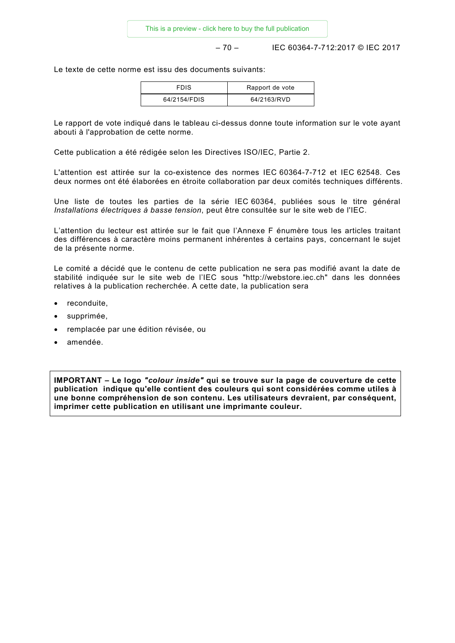– 70 – IEC 60364-7-712:2017 © IEC 2017

Le texte de cette norme est issu des documents suivants:

| <b>FDIS</b>  | Rapport de vote |
|--------------|-----------------|
| 64/2154/FDIS | 64/2163/RVD     |

Le rapport de vote indiqué dans le tableau ci-dessus donne toute information sur le vote ayant abouti à l'approbation de cette norme.

Cette publication a été rédigée selon les Directives ISO/IEC, Partie 2.

L'attention est attirée sur la co-existence des normes IEC 60364-7-712 et IEC 62548. Ces deux normes ont été élaborées en étroite collaboration par deux comités techniques différents.

Une liste de toutes les parties de la série IEC 60364, publiées sous le titre général *Installations électriques à basse tension*, peut être consultée sur le site web de l'IEC.

L'attention du lecteur est attirée sur le fait que l'Annexe F énumère tous les articles traitant des différences à caractère moins permanent inhérentes à certains pays, concernant le sujet de la présente norme.

Le comité a décidé que le contenu de cette publication ne sera pas modifié avant la date de stabilité indiquée sur le site web de l'IEC sous "http://webstore.iec.ch" dans les données relatives à la publication recherchée. A cette date, la publication sera

- reconduite,
- supprimée,
- remplacée par une édition révisée, ou
- amendée.

**IMPORTANT – Le logo** *"colour inside"* **qui se trouve sur la page de couverture de cette publication indique qu'elle contient des couleurs qui sont considérées comme utiles à une bonne compréhension de son contenu. Les utilisateurs devraient, par conséquent, imprimer cette publication en utilisant une imprimante couleur.**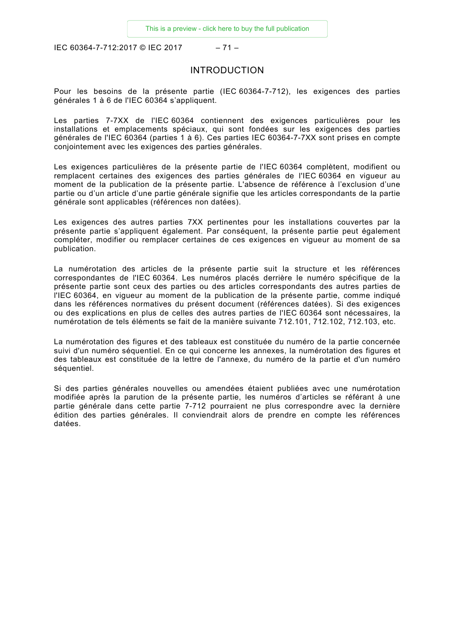<span id="page-15-0"></span>IEC 60364-7-712:2017 © IEC 2017 – 71 –

#### INTRODUCTION

Pour les besoins de la présente partie (IEC 60364-7-712), les exigences des parties générales 1 à 6 de l'IEC 60364 s'appliquent.

Les parties 7-7XX de l'IEC 60364 contiennent des exigences particulières pour les installations et emplacements spéciaux, qui sont fondées sur les exigences des parties générales de l'IEC 60364 (parties 1 à 6). Ces parties IEC 60364-7-7XX sont prises en compte conjointement avec les exigences des parties générales.

Les exigences particulières de la présente partie de l'IEC 60364 complètent, modifient ou remplacent certaines des exigences des parties générales de l'IEC 60364 en vigueur au moment de la publication de la présente partie. L'absence de référence à l'exclusion d'une partie ou d'un article d'une partie générale signifie que les articles correspondants de la partie générale sont applicables (références non datées).

Les exigences des autres parties 7XX pertinentes pour les installations couvertes par la présente partie s'appliquent également. Par conséquent, la présente partie peut également compléter, modifier ou remplacer certaines de ces exigences en vigueur au moment de sa publication.

La numérotation des articles de la présente partie suit la structure et les références correspondantes de l'IEC 60364. Les numéros placés derrière le numéro spécifique de la présente partie sont ceux des parties ou des articles correspondants des autres parties de l'IEC 60364, en vigueur au moment de la publication de la présente partie, comme indiqué dans les références normatives du présent document (références datées). Si des exigences ou des explications en plus de celles des autres parties de l'IEC 60364 sont nécessaires, la numérotation de tels éléments se fait de la manière suivante 712.101, 712.102, 712.103, etc.

La numérotation des figures et des tableaux est constituée du numéro de la partie concernée suivi d'un numéro séquentiel. En ce qui concerne les annexes, la numérotation des figures et des tableaux est constituée de la lettre de l'annexe, du numéro de la partie et d'un numéro séquentiel.

Si des parties générales nouvelles ou amendées étaient publiées avec une numérotation modifiée après la parution de la présente partie, les numéros d'articles se référant à une partie générale dans cette partie 7-712 pourraient ne plus correspondre avec la dernière édition des parties générales. Il conviendrait alors de prendre en compte les références datées.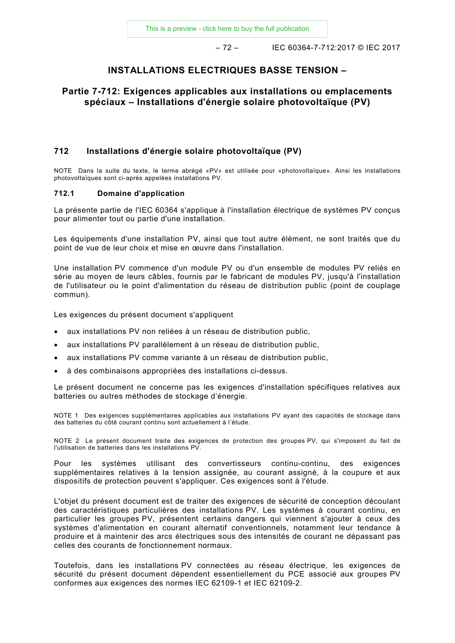– 72 – IEC 60364-7-712:2017 © IEC 2017

#### **INSTALLATIONS ELECTRIQUES BASSE TENSION –**

#### **Partie 7-712: Exigences applicables aux installations ou emplacements spéciaux – Installations d'énergie solaire photovoltaïque (PV)**

#### <span id="page-16-0"></span>**712 Installations d'énergie solaire photovoltaïque (PV)**

NOTE Dans la suite du texte, le terme abrégé «PV» est utilisée pour «photovoltaïque». Ainsi les installations photovoltaïques sont ci-après appelées installations PV.

#### <span id="page-16-1"></span>**712.1 Domaine d'application**

La présente partie de l'IEC 60364 s'applique à l'installation électrique de systèmes PV conçus pour alimenter tout ou partie d'une installation.

Les équipements d'une installation PV, ainsi que tout autre élément, ne sont traités que du point de vue de leur choix et mise en œuvre dans l'installation.

Une installation PV commence d'un module PV ou d'un ensemble de modules PV reliés en série au moyen de leurs câbles, fournis par le fabricant de modules PV, jusqu'à l'installation de l'utilisateur ou le point d'alimentation du réseau de distribution public (point de couplage commun).

Les exigences du présent document s'appliquent

- aux installations PV non reliées à un réseau de distribution public,
- aux installations PV parallèlement à un réseau de distribution public,
- aux installations PV comme variante à un réseau de distribution public,
- à des combinaisons appropriées des installations ci-dessus.

Le présent document ne concerne pas les exigences d'installation spécifiques relatives aux batteries ou autres méthodes de stockage d'énergie.

NOTE 1 Des exigences supplémentaires applicables aux installations PV ayant des capacités de stockage dans des batteries du côté courant continu sont actuellement à l'étude.

NOTE 2 Le présent document traite des exigences de protection des groupes PV, qui s'imposent du fait de l'utilisation de batteries dans les installations PV.

Pour les systèmes utilisant des convertisseurs continu-continu, des exigences supplémentaires relatives à la tension assignée, au courant assigné, à la coupure et aux dispositifs de protection peuvent s'appliquer. Ces exigences sont à l'étude.

L'objet du présent document est de traiter des exigences de sécurité de conception découlant des caractéristiques particulières des installations PV. Les systèmes à courant continu, en particulier les groupes PV, présentent certains dangers qui viennent s'ajouter à ceux des systèmes d'alimentation en courant alternatif conventionnels, notamment leur tendance à produire et à maintenir des arcs électriques sous des intensités de courant ne dépassant pas celles des courants de fonctionnement normaux.

Toutefois, dans les installations PV connectées au réseau électrique, les exigences de sécurité du présent document dépendent essentiellement du PCE associé aux groupes PV conformes aux exigences des normes IEC 62109-1 et IEC 62109-2.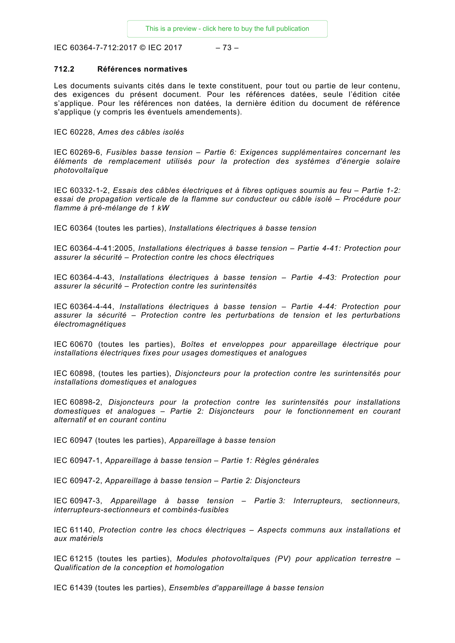IEC 60364-7-712:2017 © IEC 2017 – 73 –

#### <span id="page-17-0"></span>**712.2 Références normatives**

Les documents suivants cités dans le texte constituent, pour tout ou partie de leur contenu, des exigences du présent document. Pour les références datées, seule l'édition citée s'applique. Pour les références non datées, la dernière édition du document de référence s'applique (y compris les éventuels amendements).

IEC 60228, *Ames des câbles isolés*

IEC 60269-6, *Fusibles basse tension – Partie 6: Exigences supplémentaires concernant les éléments de remplacement utilisés pour la protection des systèmes d'énergie solaire photovoltaïque*

IEC 60332-1-2, *Essais des câbles électriques et à fibres optiques soumis au feu – Partie 1-2: essai de propagation verticale de la flamme sur conducteur ou câble isolé – Procédure pour flamme à pré-mélange de 1 kW*

IEC 60364 (toutes les parties), *Installations électriques à basse tension* 

IEC 60364-4-41:2005, *Installations électriques à basse tension – Partie 4-41: Protection pour assurer la sécurité – Protection contre les chocs électriques*

IEC 60364-4-43, *Installations électriques à basse tension – Partie 4-43: Protection pour assurer la sécurité – Protection contre les surintensités*

IEC 60364-4-44, *Installations électriques à basse tension – Partie 4-44: Protection pour assurer la sécurité – Protection contre les perturbations de tension et les perturbations électromagnétiques*

IEC 60670 (toutes les parties), *Boîtes et enveloppes pour appareillage électrique pour installations électriques fixes pour usages domestiques et analogues*

IEC 60898, (toutes les parties), *Disjoncteurs pour la protection contre les surintensités pour installations domestiques et analogues*

IEC 60898-2, *Disjoncteurs pour la protection contre les surintensités pour installations domestiques et analogues – Partie 2: Disjoncteurs pour le fonctionnement en courant alternatif et en courant continu*

IEC 60947 (toutes les parties), *Appareillage à basse tension*

IEC 60947-1, *Appareillage à basse tension – Partie 1: Règles générales*

IEC 60947-2, *Appareillage à basse tension – Partie 2: Disjoncteurs*

IEC 60947-3, *Appareillage à basse tension – Partie 3: Interrupteurs, sectionneurs, interrupteurs-sectionneurs et combinés-fusibles*

IEC 61140, *Protection contre les chocs électriques – Aspects communs aux installations et aux matériels*

IEC 61215 (toutes les parties), *Modules photovoltaïques (PV) pour application terrestre – Qualification de la conception et homologation*

IEC 61439 (toutes les parties), *Ensembles d'appareillage à basse tension*